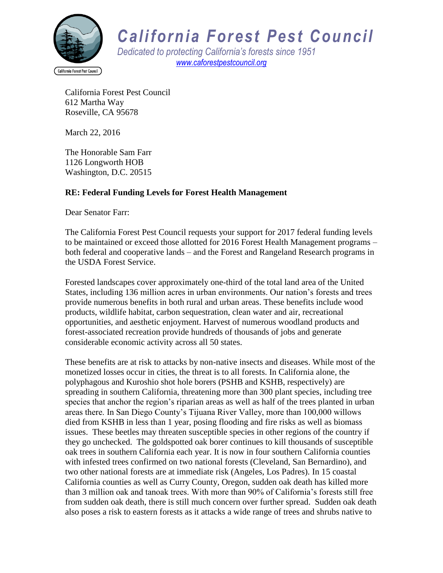

## *California Forest Pest Council*

*Dedicated to protecting California's forests since 1951 [www.caforestpestcouncil.org](http://www.caforestpestcouncil.org/)*

California Forest Pest Council 612 Martha Way Roseville, CA 95678

March 22, 2016

The Honorable Sam Farr 1126 Longworth HOB Washington, D.C. 20515

## **RE: Federal Funding Levels for Forest Health Management**

Dear Senator Farr:

The California Forest Pest Council requests your support for 2017 federal funding levels to be maintained or exceed those allotted for 2016 Forest Health Management programs – both federal and cooperative lands – and the Forest and Rangeland Research programs in the USDA Forest Service.

Forested landscapes cover approximately one-third of the total land area of the United States, including 136 million acres in urban environments. Our nation's forests and trees provide numerous benefits in both rural and urban areas. These benefits include wood products, wildlife habitat, carbon sequestration, clean water and air, recreational opportunities, and aesthetic enjoyment. Harvest of numerous woodland products and forest-associated recreation provide hundreds of thousands of jobs and generate considerable economic activity across all 50 states.

These benefits are at risk to attacks by non-native insects and diseases. While most of the monetized losses occur in cities, the threat is to all forests. In California alone, the polyphagous and Kuroshio shot hole borers (PSHB and KSHB, respectively) are spreading in southern California, threatening more than 300 plant species, including tree species that anchor the region's riparian areas as well as half of the trees planted in urban areas there. In San Diego County's Tijuana River Valley, more than 100,000 willows died from KSHB in less than 1 year, posing flooding and fire risks as well as biomass issues. These beetles may threaten susceptible species in other regions of the country if they go unchecked. The goldspotted oak borer continues to kill thousands of susceptible oak trees in southern California each year. It is now in four southern California counties with infested trees confirmed on two national forests (Cleveland, San Bernardino), and two other national forests are at immediate risk (Angeles, Los Padres). In 15 coastal California counties as well as Curry County, Oregon, sudden oak death has killed more than 3 million oak and tanoak trees. With more than 90% of California's forests still free from sudden oak death, there is still much concern over further spread. Sudden oak death also poses a risk to eastern forests as it attacks a wide range of trees and shrubs native to